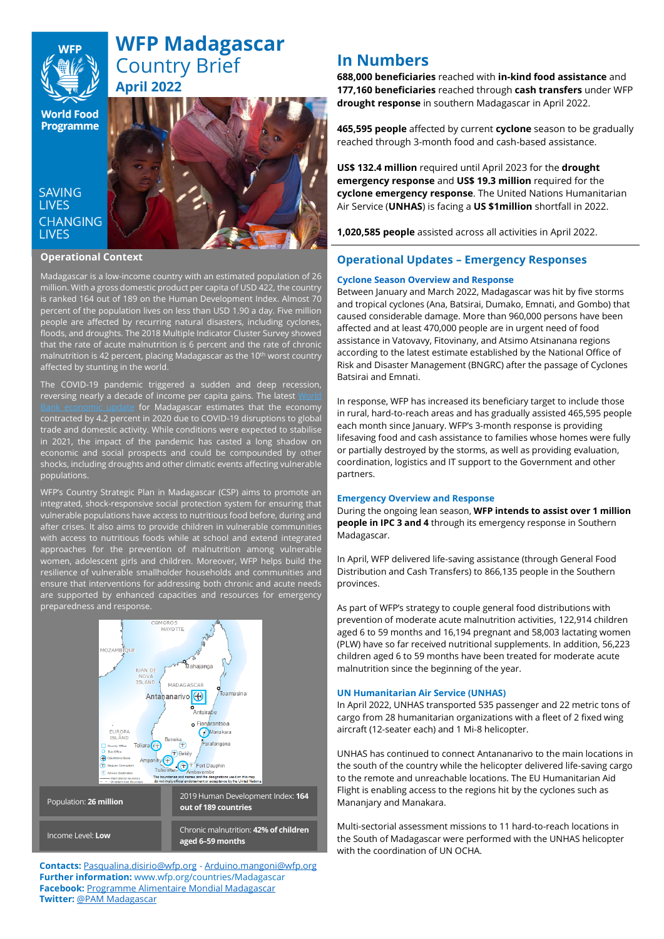

# **WFP Madagascar**  Country Brief **April 2022**

**World Food Programme** 

### **SAVING LIVES CHANGING LIVES**

#### **Operational Context**

Madagascar is a low-income country with an estimated population of 26 million. With a gross domestic product per capita of USD 422, the country is ranked 164 out of 189 on the Human Development Index. Almost 70 percent of the population lives on less than USD 1.90 a day. Five million people are affected by recurring natural disasters, including cyclones, floods, and droughts. The 2018 Multiple Indicator Cluster Survey showed that the rate of acute malnutrition is 6 percent and the rate of chronic malnutrition is 42 percent, placing Madagascar as the 10<sup>th</sup> worst country affected by stunting in the world.

The COVID-19 pandemic triggered a sudden and deep recession, reversing nearly a decade of income per capita gains. The latest  $\underline{\mathsf{M}}$ [Bank economic update](https://openknowledge.worldbank.org/handle/10986/34935) for Madagascar estimates that the economy contracted by 4.2 percent in 2020 due to COVID-19 disruptions to global trade and domestic activity. While conditions were expected to stabilise in 2021, the impact of the pandemic has casted a long shadow on economic and social prospects and could be compounded by other shocks, including droughts and other climatic events affecting vulnerable populations.

WFP's Country Strategic Plan in Madagascar (CSP) aims to promote an integrated, shock-responsive social protection system for ensuring that vulnerable populations have access to nutritious food before, during and after crises. It also aims to provide children in vulnerable communities with access to nutritious foods while at school and extend integrated approaches for the prevention of malnutrition among vulnerable women, adolescent girls and children. Moreover, WFP helps build the resilience of vulnerable smallholder households and communities and ensure that interventions for addressing both chronic and acute needs are supported by enhanced capacities and resources for emergency preparedness and response.



**Contacts:** [Pasqualina.disirio@wfp.org](mailto:Pasqualina.disirio@wfp.org) - [Arduino.mangoni@wfp.org](mailto:Arduino.mangoni@wfp.org) **Further information:** [www.wfp.org/countries/Madagascar](http://www.wfp.org/countries/Madagascar) **Facebook:** [Programme Alimentaire Mondial Madagascar](https://www.facebook.com/WFPMadagascar/) **Twitter:** [@PAM Madagascar](https://twitter.com/pammadagascar?lang=en)

# **In Numbers**

**688,000 beneficiaries** reached with **in-kind food assistance** and **177,160 beneficiaries** reached through **cash transfers** under WFP **drought response** in southern Madagascar in April 2022.

**465,595 people** affected by current **cyclone** season to be gradually reached through 3-month food and cash-based assistance.

**US\$ 132.4 million** required until April 2023 for the **drought emergency response** and **US\$ 19.3 million** required for the **cyclone emergency response**. The United Nations Humanitarian Air Service (**UNHAS**) is facing a **US \$1million** shortfall in 2022.

**1,020,585 people** assisted across all activities in April 2022.

### **Operational Updates – Emergency Responses**

#### **Cyclone Season Overview and Response**

Between January and March 2022, Madagascar was hit by five storms and tropical cyclones (Ana, Batsirai, Dumako, Emnati, and Gombo) that caused considerable damage. More than 960,000 persons have been affected and at least 470,000 people are in urgent need of food assistance in Vatovavy, Fitovinany, and Atsimo Atsinanana regions according to the latest estimate established by the National Office of Risk and Disaster Management (BNGRC) after the passage of Cyclones Batsirai and Emnati.

In response, WFP has increased its beneficiary target to include those in rural, hard-to-reach areas and has gradually assisted 465,595 people each month since January. WFP's 3-month response is providing lifesaving food and cash assistance to families whose homes were fully or partially destroyed by the storms, as well as providing evaluation, coordination, logistics and IT support to the Government and other partners.

#### **Emergency Overview and Response**

During the ongoing lean season, **WFP intends to assist over 1 million people in IPC 3 and 4** through its emergency response in Southern Madagascar.

In April, WFP delivered life-saving assistance (through General Food Distribution and Cash Transfers) to 866,135 people in the Southern provinces.

As part of WFP's strategy to couple general food distributions with prevention of moderate acute malnutrition activities, 122,914 children aged 6 to 59 months and 16,194 pregnant and 58,003 lactating women (PLW) have so far received nutritional supplements. In addition, 56,223 children aged 6 to 59 months have been treated for moderate acute malnutrition since the beginning of the year.

#### **UN Humanitarian Air Service (UNHAS)**

In April 2022, UNHAS transported 535 passenger and 22 metric tons of cargo from 28 humanitarian organizations with a fleet of 2 fixed wing aircraft (12-seater each) and 1 Mi-8 helicopter.

UNHAS has continued to connect Antananarivo to the main locations in the south of the country while the helicopter delivered life-saving cargo to the remote and unreachable locations. The EU Humanitarian Aid Flight is enabling access to the regions hit by the cyclones such as Mananjary and Manakara.

Multi-sectorial assessment missions to 11 hard-to-reach locations in the South of Madagascar were performed with the UNHAS helicopter with the coordination of UN OCHA.